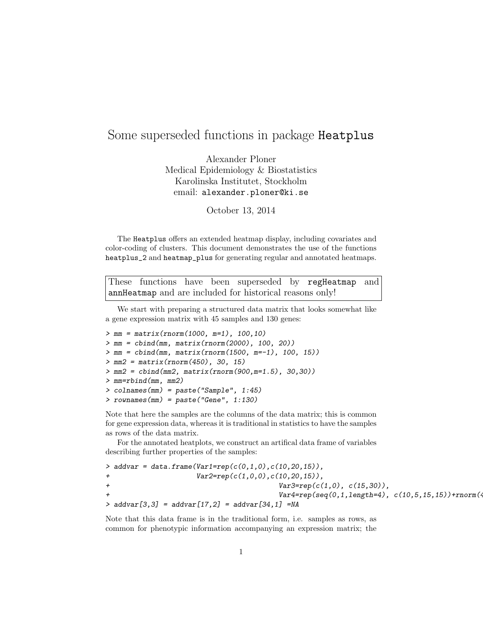## Some superseded functions in package Heatplus

Alexander Ploner Medical Epidemiology & Biostatistics Karolinska Institutet, Stockholm email: alexander.ploner@ki.se

October 13, 2014

The Heatplus offers an extended heatmap display, including covariates and color-coding of clusters. This document demonstrates the use of the functions heatplus<sup>2</sup> and heatmap<sub>plus</sub> for generating regular and annotated heatmaps.

These functions have been superseded by regHeatmap and annHeatmap and are included for historical reasons only!

We start with preparing a structured data matrix that looks somewhat like a gene expression matrix with 45 samples and 130 genes:

```
> mm = matrix(rnorm(1000, m=1), 100,10)
> mm = cbind(mm, matrix(rnorm(2000), 100, 20))
> mm = cbind(mm, matrix(rnorm(1500, m=-1), 100, 15))
> mm2 = matrix(rnorm(450), 30, 15)
> mm2 = cbind(mm2, matrix(rnorm(900,m=1.5), 30,30))
> mm=rbind(mm, mm2)
> colnames(mm) = paste("Sample", 1:45)
> rownames(mm) = paste("Gene", 1:130)
```
Note that here the samples are the columns of the data matrix; this is common for gene expression data, whereas it is traditional in statistics to have the samples as rows of the data matrix.

For the annotated heatplots, we construct an artifical data frame of variables describing further properties of the samples:

```
> addvar = data.frame(Var1=rep(c(0,1,0),c(10,20,15)),
+ Var2=rep(c(1,0,0),c(10,20,15)),
+ Var3=rep(c(1,0), c(15,30)),
                                 Var4=rep(seq(0,1,length=4), c(10,5,15,15))+rnorm(4)> addvar[3,3] = addvar[17,2] = addvar[34,1] =NA
```
Note that this data frame is in the traditional form, i.e. samples as rows, as common for phenotypic information accompanying an expression matrix; the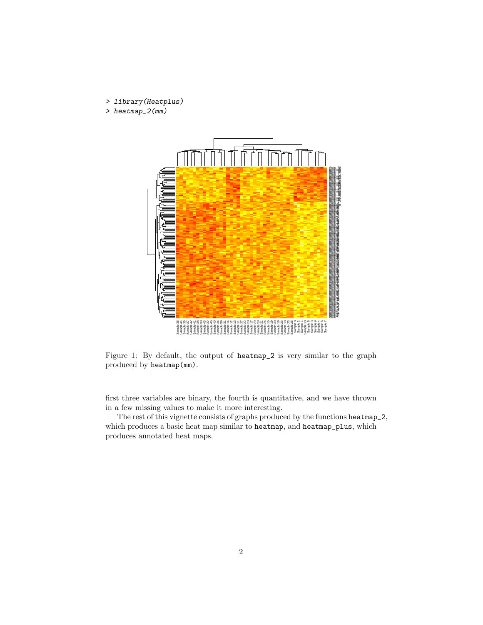## > library(Heatplus)

> heatmap\_2(mm)



Figure 1: By default, the output of heatmap\_2 is very similar to the graph produced by heatmap(mm).

first three variables are binary, the fourth is quantitative, and we have thrown in a few missing values to make it more interesting.

The rest of this vignette consists of graphs produced by the functions heatmap\_2, which produces a basic heat map similar to heatmap, and heatmap\_plus, which produces annotated heat maps.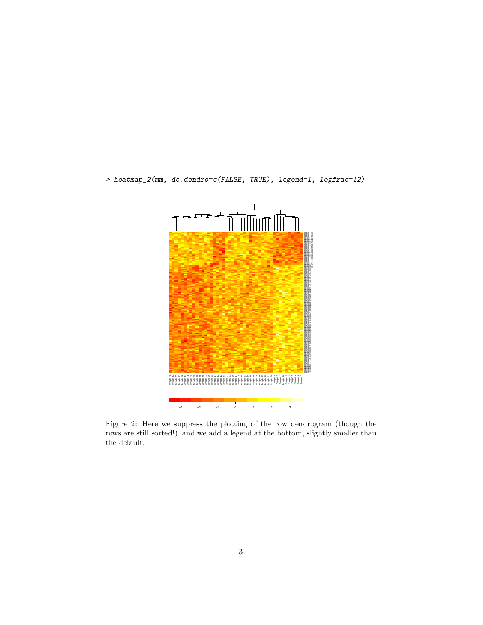> heatmap\_2(mm, do.dendro=c(FALSE, TRUE), legend=1, legfrac=12)



Figure 2: Here we suppress the plotting of the row dendrogram (though the rows are still sorted!), and we add a legend at the bottom, slightly smaller than the default.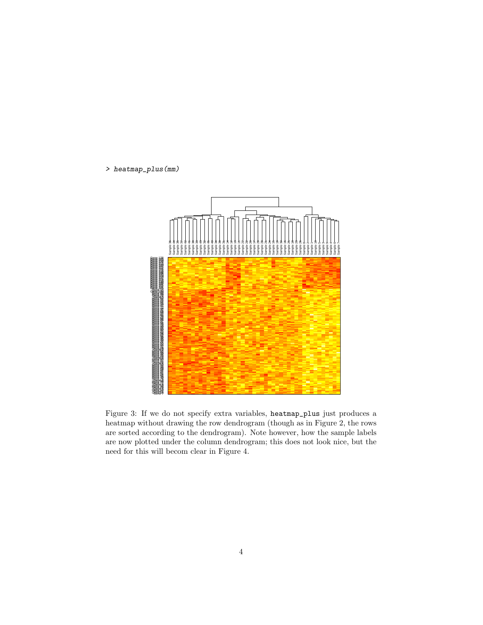> heatmap\_plus(mm)



Figure 3: If we do not specify extra variables, heatmap\_plus just produces a heatmap without drawing the row dendrogram (though as in Figure 2, the rows are sorted according to the dendrogram). Note however, how the sample labels are now plotted under the column dendrogram; this does not look nice, but the need for this will becom clear in Figure 4.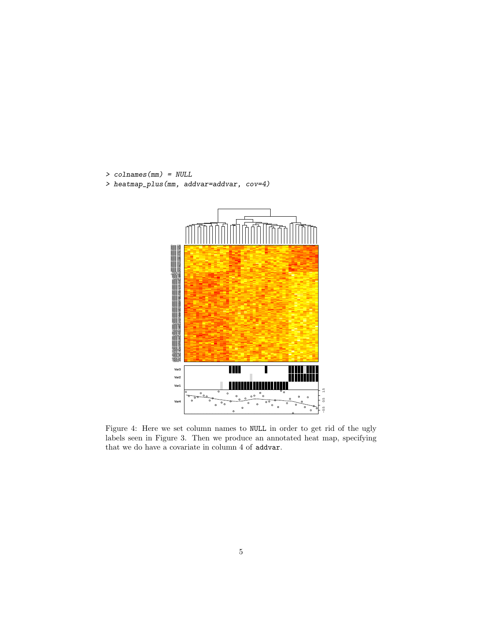> colnames(mm) = NULL

> heatmap\_plus(mm, addvar=addvar, cov=4)



Figure 4: Here we set column names to NULL in order to get rid of the ugly labels seen in Figure 3. Then we produce an annotated heat map, specifying that we do have a covariate in column 4 of addvar.